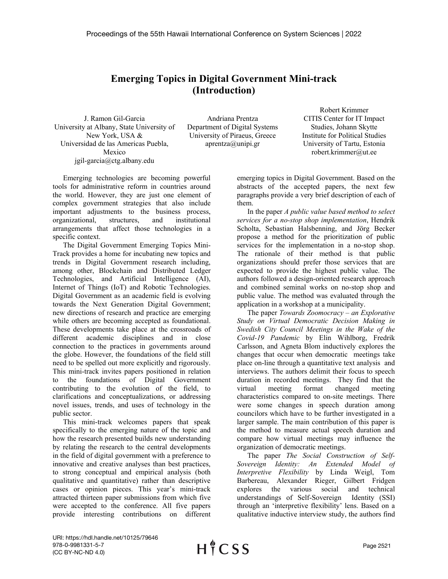## **Emerging Topics in Digital Government Mini-track (Introduction)**

J. Ramon Gil-Garcia University at Albany, State University of New York, USA & Universidad de las Americas Puebla, Mexico jgil-garcia@ctg.albany.edu

Andriana Prentza Department of Digital Systems University of Piraeus, Greece aprentza@unipi.gr

Robert Krimmer CITIS Center for IT Impact Studies, Johann Skytte Institute for Political Studies University of Tartu, Estonia robert.krimmer@ut.ee

Emerging technologies are becoming powerful tools for administrative reform in countries around the world. However, they are just one element of complex government strategies that also include important adjustments to the business process, organizational, structures, and institutional arrangements that affect those technologies in a specific context.

The Digital Government Emerging Topics Mini-Track provides a home for incubating new topics and trends in Digital Government research including, among other, Blockchain and Distributed Ledger Technologies, and Artificial Intelligence (AI), Internet of Things (IoT) and Robotic Technologies. Digital Government as an academic field is evolving towards the Next Generation Digital Government; new directions of research and practice are emerging while others are becoming accepted as foundational. These developments take place at the crossroads of different academic disciplines and in close connection to the practices in governments around the globe. However, the foundations of the field still need to be spelled out more explicitly and rigorously. This mini-track invites papers positioned in relation to the foundations of Digital Government contributing to the evolution of the field, to clarifications and conceptualizations, or addressing novel issues, trends, and uses of technology in the public sector.

This mini-track welcomes papers that speak specifically to the emerging nature of the topic and how the research presented builds new understanding by relating the research to the central developments in the field of digital government with a preference to innovative and creative analyses than best practices, to strong conceptual and empirical analysis (both qualitative and quantitative) rather than descriptive cases or opinion pieces. This year's mini-track attracted thirteen paper submissions from which five were accepted to the conference. All five papers provide interesting contributions on different

emerging topics in Digital Government. Based on the abstracts of the accepted papers, the next few paragraphs provide a very brief description of each of them.

In the paper *A public value based method to select services for a no-stop shop implementation*, Hendrik Scholta, Sebastian Halsbenning, and Jörg Becker propose a method for the prioritization of public services for the implementation in a no-stop shop. The rationale of their method is that public organizations should prefer those services that are expected to provide the highest public value. The authors followed a design-oriented research approach and combined seminal works on no-stop shop and public value. The method was evaluated through the application in a workshop at a municipality.

The paper *Towards Zoomocracy – an Explorative Study on Virtual Democratic Decision Making in Swedish City Council Meetings in the Wake of the Covid-19 Pandemic* by Elin Wihlborg, Fredrik Carlsson, and Agneta Blom inductively explores the changes that occur when democratic meetings take place on-line through a quantitative text analysis and interviews. The authors delimit their focus to speech duration in recorded meetings. They find that the virtual meeting format changed meeting characteristics compared to on-site meetings. There were some changes in speech duration among councilors which have to be further investigated in a larger sample. The main contribution of this paper is the method to measure actual speech duration and compare how virtual meetings may influence the organization of democratic meetings.

The paper *The Social Construction of Self-Sovereign Identity: An Extended Model of Interpretive Flexibility* by Linda Weigl, Tom Barbereau, Alexander Rieger, Gilbert Fridgen explores the various social and technical understandings of Self-Sovereign Identity (SSI) through an 'interpretive flexibility' lens. Based on a qualitative inductive interview study, the authors find